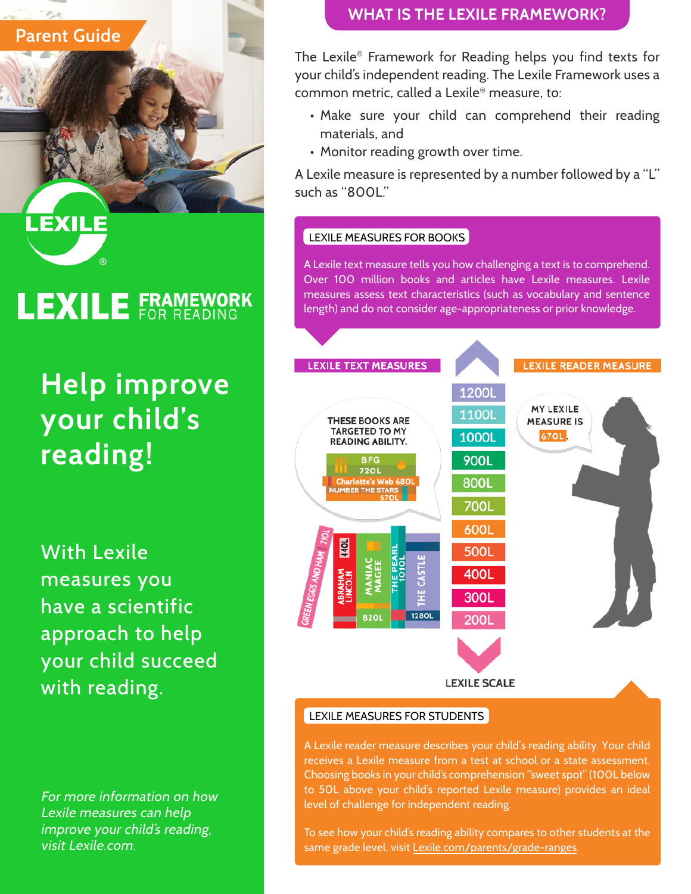

# LEXILE FRAMEWORK

**Help improve your child's reading!**

With Lexile measures you have a scientific approach to help your child succeed with reading.

For more information on how Lexile measures can help improve your child's reading, visit [Lexile.com](https://lexile.com).

## **WHAT IS THE LEXILE FRAMEWORK?**

The Lexile® Framework for Reading helps you find texts for your child's independent reading. The Lexile Framework uses a common metric, called a Lexile® measure, to:

- Make sure your child can comprehend their reading materials, and
- Monitor reading growth over time.

A Lexile measure is represented by a number followed by a "L" such as "800L."

## LEXILE MEASURES FOR BOOKS

A Lexile text measure tells you how challenging a text is to comprehend. Over 100 million books and articles have Lexile measures. Lexile measures assess text characteristics (such as vocabulary and sentence length) and do not consider age-appropriateness or prior knowledge.



### LEXILE MEASURES FOR STUDENTS

A Lexile reader measure describes your child's reading ability. Your child receives a Lexile measure from a test at school or a state assessment. Choosing books in your child's comprehension "sweet spot" (100L below to 50L above your child's reported Lexile measure) provides an ideal level of challenge for independent reading.

To see how your child's reading ability compares to other students at the same grade level, visit [Lexile.com/parents/grade-ranges](http://lexile.com/parents/grade-ranges).